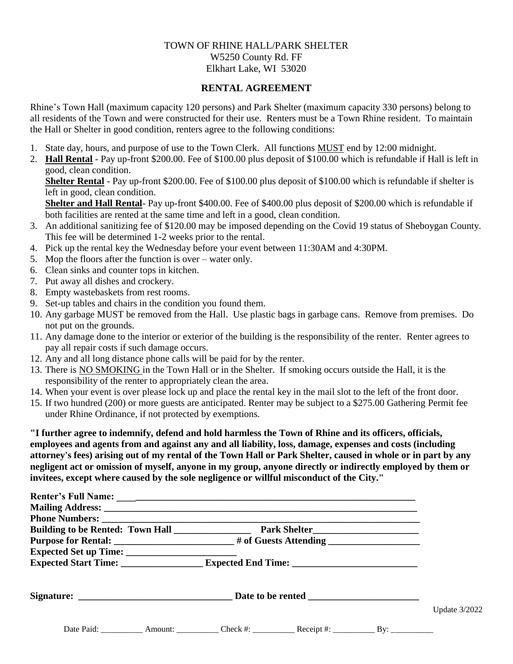## TOWN OF RHINE HALL/PARK SHELTER W5250 County Rd. FF Elkhart Lake, WI 53020

## **RENTAL AGREEMENT**

Rhine's Town Hall (maximum capacity 120 persons) and Park Shelter (maximum capacity 330 persons) belong to all residents of the Town and were constructed for their use. Renters must be a Town Rhine resident. To maintain the Hall or Shelter in good condition, renters agree to the following conditions:

- 1. State day, hours, and purpose of use to the Town Clerk. All functions MUST end by 12:00 midnight.
- 2. **Hall Rental** Pay up-front \$200.00. Fee of \$100.00 plus deposit of \$100.00 which is refundable if Hall is left in good, clean condition.

**Shelter Rental** - Pay up-front \$200.00. Fee of \$100.00 plus deposit of \$100.00 which is refundable if shelter is left in good, clean condition.

**Shelter and Hall Rental**- Pay up-front \$400.00. Fee of \$400.00 plus deposit of \$200.00 which is refundable if both facilities are rented at the same time and left in a good, clean condition.

- 3. An additional sanitizing fee of \$120.00 may be imposed depending on the Covid 19 status of Sheboygan County. This fee will be determined 1-2 weeks prior to the rental.
- 4. Pick up the rental key the Wednesday before your event between 11:30AM and 4:30PM.
- 5. Mop the floors after the function is over water only.
- 6. Clean sinks and counter tops in kitchen.
- 7. Put away all dishes and crockery.
- 8. Empty wastebaskets from rest rooms.
- 9. Set-up tables and chairs in the condition you found them.
- 10. Any garbage MUST be removed from the Hall. Use plastic bags in garbage cans. Remove from premises. Do not put on the grounds.
- 11. Any damage done to the interior or exterior of the building is the responsibility of the renter. Renter agrees to pay all repair costs if such damage occurs.
- 12. Any and all long distance phone calls will be paid for by the renter.
- 13. There is NO SMOKING in the Town Hall or in the Shelter. If smoking occurs outside the Hall, it is the responsibility of the renter to appropriately clean the area.
- 14. When your event is over please lock up and place the rental key in the mail slot to the left of the front door.
- 15. If two hundred (200) or more guests are anticipated. Renter may be subject to a \$275.00 Gathering Permit fee under Rhine Ordinance, if not protected by exemptions.

**"I further agree to indemnify, defend and hold harmless the Town of Rhine and its officers, officials, employees and agents from and against any and all liability, loss, damage, expenses and costs (including attorney's fees) arising out of my rental of the Town Hall or Park Shelter, caused in whole or in part by any negligent act or omission of myself, anyone in my group, anyone directly or indirectly employed by them or invitees, except where caused by the sole negligence or willful misconduct of the City."**

|  | <b>Update 3/2022</b> |
|--|----------------------|
|  |                      |